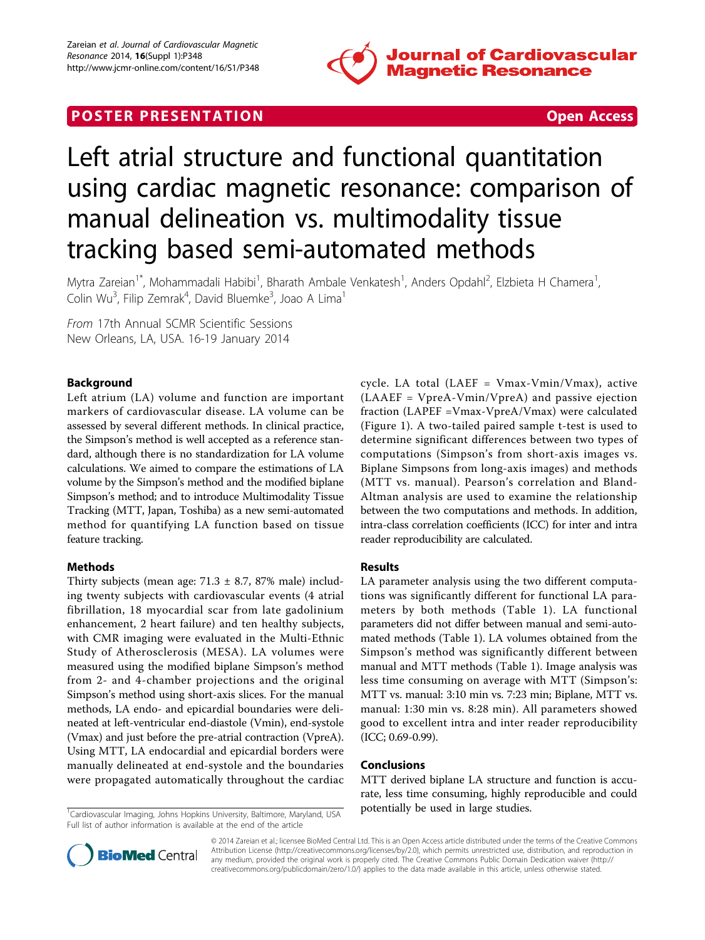

## **POSTER PRESENTATION CONSUMING THE SERVICE SERVICE SERVICES**



# Left atrial structure and functional quantitation using cardiac magnetic resonance: comparison of manual delineation vs. multimodality tissue tracking based semi-automated methods

Mytra Zareian<sup>1\*</sup>, Mohammadali Habibi<sup>1</sup>, Bharath Ambale Venkatesh<sup>1</sup>, Anders Opdahl<sup>2</sup>, Elzbieta H Chamera<sup>1</sup> , Colin Wu<sup>3</sup>, Filip Zemrak<sup>4</sup>, David Bluemke<sup>3</sup>, Joao A Lima<sup>1</sup>

From 17th Annual SCMR Scientific Sessions New Orleans, LA, USA. 16-19 January 2014

### Background

Left atrium (LA) volume and function are important markers of cardiovascular disease. LA volume can be assessed by several different methods. In clinical practice, the Simpson's method is well accepted as a reference standard, although there is no standardization for LA volume calculations. We aimed to compare the estimations of LA volume by the Simpson's method and the modified biplane Simpson's method; and to introduce Multimodality Tissue Tracking (MTT, Japan, Toshiba) as a new semi-automated method for quantifying LA function based on tissue feature tracking.

#### Methods

Thirty subjects (mean age:  $71.3 \pm 8.7$ , 87% male) including twenty subjects with cardiovascular events (4 atrial fibrillation, 18 myocardial scar from late gadolinium enhancement, 2 heart failure) and ten healthy subjects, with CMR imaging were evaluated in the Multi-Ethnic Study of Atherosclerosis (MESA). LA volumes were measured using the modified biplane Simpson's method from 2- and 4-chamber projections and the original Simpson's method using short-axis slices. For the manual methods, LA endo- and epicardial boundaries were delineated at left-ventricular end-diastole (Vmin), end-systole (Vmax) and just before the pre-atrial contraction (VpreA). Using MTT, LA endocardial and epicardial borders were manually delineated at end-systole and the boundaries were propagated automatically throughout the cardiac

<sup>1</sup>Cardiovascular Imaging, Johns Hopkins University, Baltimore, Maryland, USA **potentially be used in large studies.** Full list of author information is available at the end of the article

cycle. LA total (LAEF = Vmax-Vmin/Vmax), active (LAAEF = VpreA-Vmin/VpreA) and passive ejection fraction (LAPEF =Vmax-VpreA/Vmax) were calculated (Figure [1](#page-1-0)). A two-tailed paired sample t-test is used to determine significant differences between two types of computations (Simpson's from short-axis images vs. Biplane Simpsons from long-axis images) and methods (MTT vs. manual). Pearson's correlation and Bland-Altman analysis are used to examine the relationship between the two computations and methods. In addition, intra-class correlation coefficients (ICC) for inter and intra reader reproducibility are calculated.

#### Results

LA parameter analysis using the two different computations was significantly different for functional LA parameters by both methods (Table [1\)](#page-1-0). LA functional parameters did not differ between manual and semi-automated methods (Table [1\)](#page-1-0). LA volumes obtained from the Simpson's method was significantly different between manual and MTT methods (Table [1](#page-1-0)). Image analysis was less time consuming on average with MTT (Simpson's: MTT vs. manual: 3:10 min vs. 7:23 min; Biplane, MTT vs. manual: 1:30 min vs. 8:28 min). All parameters showed good to excellent intra and inter reader reproducibility (ICC; 0.69-0.99).

#### Conclusions

MTT derived biplane LA structure and function is accurate, less time consuming, highly reproducible and could



© 2014 Zareian et al.; licensee BioMed Central Ltd. This is an Open Access article distributed under the terms of the Creative Commons Attribution License [\(http://creativecommons.org/licenses/by/2.0](http://creativecommons.org/licenses/by/2.0)), which permits unrestricted use, distribution, and reproduction in any medium, provided the original work is properly cited. The Creative Commons Public Domain Dedication waiver [\(http://](http://creativecommons.org/publicdomain/zero/1.0/) [creativecommons.org/publicdomain/zero/1.0/](http://creativecommons.org/publicdomain/zero/1.0/)) applies to the data made available in this article, unless otherwise stated.